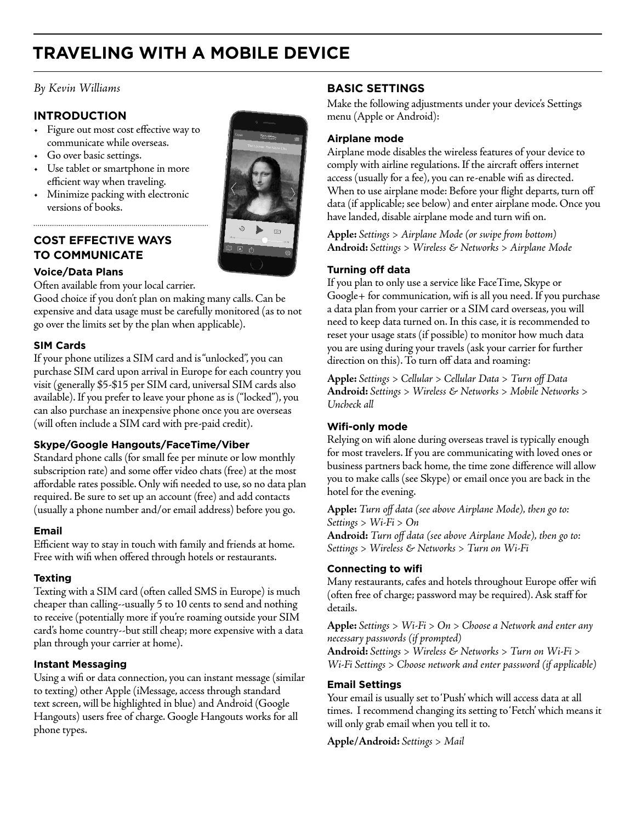# **TRAVELING WITH A MOBILE DEVICE**

# *By Kevin Williams*

# **INTRODUCTION**

- Figure out most cost effective way to communicate while overseas.
- Go over basic settings.
- Use tablet or smartphone in more efficient way when traveling.
- Minimize packing with electronic versions of books.

# **COST EFFECTIVE WAYS TO COMMUNICATE**

# **Voice/Data Plans**

Often available from your local carrier.

Good choice if you don't plan on making many calls. Can be expensive and data usage must be carefully monitored (as to not go over the limits set by the plan when applicable).

### **SIM Cards**

If your phone utilizes a SIM card and is "unlocked", you can purchase SIM card upon arrival in Europe for each country you visit (generally \$5-\$15 per SIM card, universal SIM cards also available). If you prefer to leave your phone as is ("locked"), you can also purchase an inexpensive phone once you are overseas (will often include a SIM card with pre-paid credit).

# **Skype/Google Hangouts/FaceTime/Viber**

Standard phone calls (for small fee per minute or low monthly subscription rate) and some offer video chats (free) at the most affordable rates possible. Only wifi needed to use, so no data plan required. Be sure to set up an account (free) and add contacts (usually a phone number and/or email address) before you go.

### **Email**

Efficient way to stay in touch with family and friends at home. Free with wifi when offered through hotels or restaurants.

#### **Texting**

Texting with a SIM card (often called SMS in Europe) is much cheaper than calling--usually 5 to 10 cents to send and nothing to receive (potentially more if you're roaming outside your SIM card's home country--but still cheap; more expensive with a data plan through your carrier at home).

#### **Instant Messaging**

Using a wifi or data connection, you can instant message (similar to texting) other Apple (iMessage, access through standard text screen, will be highlighted in blue) and Android (Google Hangouts) users free of charge. Google Hangouts works for all phone types.

# **BASIC SETTINGS**

Make the following adjustments under your device's Settings menu (Apple or Android):

## **Airplane mode**

Airplane mode disables the wireless features of your device to comply with airline regulations. If the aircraft offers internet access (usually for a fee), you can re-enable wifi as directed. When to use airplane mode: Before your flight departs, turn off data (if applicable; see below) and enter airplane mode. Once you have landed, disable airplane mode and turn wifi on.

**Apple:** *Settings > Airplane Mode (or swipe from bottom)* **Android:** *Settings > Wireless & Networks > Airplane Mode*

### **Turning off data**

If you plan to only use a service like FaceTime, Skype or Google+ for communication, wifi is all you need. If you purchase a data plan from your carrier or a SIM card overseas, you will need to keep data turned on. In this case, it is recommended to reset your usage stats (if possible) to monitor how much data you are using during your travels (ask your carrier for further direction on this). To turn off data and roaming:

**Apple:** *Settings > Cellular > Cellular Data > Turn off Data* **Android:** *Settings > Wireless & Networks > Mobile Networks > Uncheck all* 

# **Wifi-only mode**

Relying on wifi alone during overseas travel is typically enough for most travelers. If you are communicating with loved ones or business partners back home, the time zone difference will allow you to make calls (see Skype) or email once you are back in the hotel for the evening.

**Apple:** *Turn off data (see above Airplane Mode), then go to: Settings > Wi-Fi > On* **Android:** *Turn off data (see above Airplane Mode), then go to: Settings > Wireless & Networks > Turn on Wi-Fi*

#### **Connecting to wifi**

Many restaurants, cafes and hotels throughout Europe offer wifi (often free of charge; password may be required). Ask staff for details.

**Apple:** *Settings > Wi-Fi > On > Choose a Network and enter any necessary passwords (if prompted)* **Android:** *Settings > Wireless & Networks > Turn on Wi-Fi > Wi-Fi Settings > Choose network and enter password (if applicable)*

#### **Email Settings**

Your email is usually set to 'Push' which will access data at all times. I recommend changing its setting to 'Fetch' which means it will only grab email when you tell it to.

**Apple/Android:** *Settings > Mail*